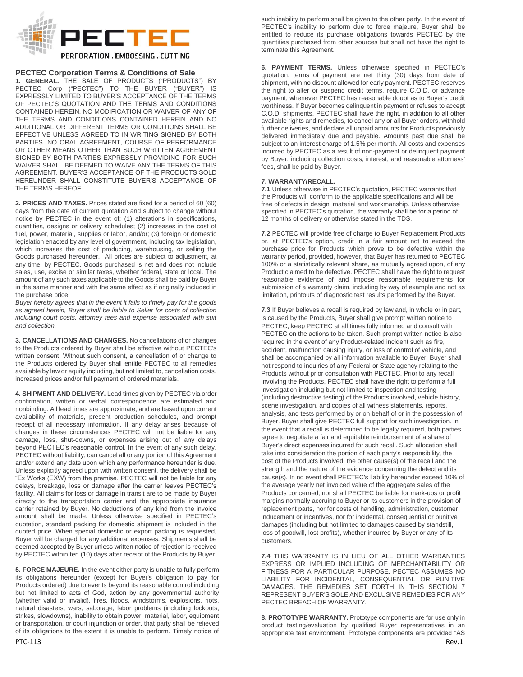

# **PECTEC Corporation Terms & Conditions of Sale**

**1. GENERAL.** THE SALE OF PRODUCTS ("PRODUCTS") BY PECTEC Corp ("PECTEC") TO THE BUYER ("BUYER") IS EXPRESSLY LIMITED TO BUYER'S ACCEPTANCE OF THE TERMS OF PECTEC'S QUOTATION AND THE TERMS AND CONDITIONS CONTAINED HEREIN. NO MODIFICATION OR WAIVER OF ANY OF THE TERMS AND CONDITIONS CONTAINED HEREIN AND NO ADDITIONAL OR DIFFERENT TERMS OR CONDITIONS SHALL BE EFFECTIVE UNLESS AGREED TO IN WRITING SIGNED BY BOTH PARTIES. NO ORAL AGREEMENT, COURSE OF PERFORMANCE OR OTHER MEANS OTHER THAN SUCH WRITTEN AGREEMENT SIGNED BY BOTH PARTIES EXPRESSLY PROVIDING FOR SUCH WAIVER SHALL BE DEEMED TO WAIVE ANY THE TERMS OF THIS AGREEMENT. BUYER'S ACCEPTANCE OF THE PRODUCTS SOLD HEREUNDER SHALL CONSTITUTE BUYER'S ACCEPTANCE OF THE TERMS HEREOF.

**2. PRICES AND TAXES.** Prices stated are fixed for a period of 60 (60) days from the date of current quotation and subject to change without notice by PECTEC in the event of: (1) alterations in specifications, quantities, designs or delivery schedules; (2) increases in the cost of fuel, power, material, supplies or labor, and/or; (3) foreign or domestic legislation enacted by any level of government, including tax legislation, which increases the cost of producing, warehousing, or selling the Goods purchased hereunder. All prices are subject to adjustment, at any time, by PECTEC. Goods purchased is net and does not include sales, use, excise or similar taxes, whether federal, state or local. The amount of any such taxes applicable to the Goods shall be paid by Buyer in the same manner and with the same effect as if originally included in the purchase price.

*Buyer hereby agrees that in the event it fails to timely pay for the goods as agreed herein, Buyer shall be liable to Seller for costs of collection including court costs, attorney fees and expense associated with suit and collection.*

**3. CANCELLATIONS AND CHANGES.** No cancellations of or changes to the Products ordered by Buyer shall be effective without PECTEC's written consent. Without such consent, a cancellation of or change to the Products ordered by Buyer shall entitle PECTEC to all remedies available by law or equity including, but not limited to, cancellation costs, increased prices and/or full payment of ordered materials.

**4. SHIPMENT AND DELIVERY.** Lead times given by PECTEC via order confirmation, written or verbal correspondence are estimated and nonbinding. All lead times are approximate, and are based upon current availability of materials, present production schedules, and prompt receipt of all necessary information. If any delay arises because of changes in these circumstances PECTEC will not be liable for any damage, loss, shut-downs, or expenses arising out of any delays beyond PECTEC's reasonable control. In the event of any such delay, PECTEC without liability, can cancel all or any portion of this Agreement and/or extend any date upon which any performance hereunder is due. Unless explicitly agreed upon with written consent, the delivery shall be "Ex Works (EXW) from the premise. PECTEC will not be liable for any delays, breakage, loss or damage after the carrier leaves PECTEC's facility. All claims for loss or damage in transit are to be made by Buyer directly to the transportation carrier and the appropriate insurance carrier retained by Buyer. No deductions of any kind from the invoice amount shall be made. Unless otherwise specified in PECTEC's quotation, standard packing for domestic shipment is included in the quoted price. When special domestic or export packing is requested, Buyer will be charged for any additional expenses. Shipments shall be deemed accepted by Buyer unless written notice of rejection is received by PECTEC within ten (10) days after receipt of the Products by Buyer.

**5. FORCE MAJEURE.** In the event either party is unable to fully perform its obligations hereunder (except for Buyer's obligation to pay for Products ordered) due to events beyond its reasonable control including but not limited to acts of God, action by any governmental authority (whether valid or invalid), fires, floods, windstorms, explosions, riots, natural disasters, wars, sabotage, labor problems (including lockouts, strikes, slowdowns), inability to obtain power, material, labor, equipment or transportation, or court injunction or order, that party shall be relieved of its obligations to the extent it is unable to perform. Timely notice of

such inability to perform shall be given to the other party. In the event of PECTEC's inability to perform due to force majeure, Buyer shall be entitled to reduce its purchase obligations towards PECTEC by the quantities purchased from other sources but shall not have the right to terminate this Agreement.

**6. PAYMENT TERMS.** Unless otherwise specified in PECTEC's quotation, terms of payment are net thirty (30) days from date of shipment, with no discount allowed for early payment. PECTEC reserves the right to alter or suspend credit terms, require C.O.D. or advance payment, whenever PECTEC has reasonable doubt as to Buyer's credit worthiness. If Buyer becomes delinquent in payment or refuses to accept C.O.D. shipments, PECTEC shall have the right, in addition to all other available rights and remedies, to cancel any or all Buyer orders, withhold further deliveries, and declare all unpaid amounts for Products previously delivered immediately due and payable. Amounts past due shall be subject to an interest charge of 1.5% per month. All costs and expenses incurred by PECTEC as a result of non-payment or delinquent payment by Buyer, including collection costs, interest, and reasonable attorneys' fees, shall be paid by Buyer.

# **7. WARRANTY/RECALL.**

**7.1** Unless otherwise in PECTEC's quotation, PECTEC warrants that the Products will conform to the applicable specifications and will be free of defects in design, material and workmanship. Unless otherwise specified in PECTEC's quotation, the warranty shall be for a period of 12 months of delivery or otherwise stated in the TDS.

**7.2** PECTEC will provide free of charge to Buyer Replacement Products or, at PECTEC's option, credit in a fair amount not to exceed the purchase price for Products which prove to be defective within the warranty period, provided, however, that Buyer has returned to PECTEC 100% or a statistically relevant share, as mutually agreed upon, of any Product claimed to be defective. PECTEC shall have the right to request reasonable evidence of and impose reasonable requirements for submission of a warranty claim, including by way of example and not as limitation, printouts of diagnostic test results performed by the Buyer.

**7.3** If Buyer believes a recall is required by law and, in whole or in part, is caused by the Products, Buyer shall give prompt written notice to PECTEC, keep PECTEC at all times fully informed and consult with PECTEC on the actions to be taken. Such prompt written notice is also required in the event of any Product-related incident such as fire, accident, malfunction causing injury, or loss of control of vehicle, and shall be accompanied by all information available to Buyer. Buyer shall not respond to inquiries of any Federal or State agency relating to the Products without prior consultation with PECTEC. Prior to any recall involving the Products, PECTEC shall have the right to perform a full investigation including but not limited to inspection and testing (including destructive testing) of the Products involved, vehicle history, scene investigation, and copies of all witness statements, reports, analysis, and tests performed by or on behalf of or in the possession of Buyer. Buyer shall give PECTEC full support for such investigation. In the event that a recall is determined to be legally required, both parties agree to negotiate a fair and equitable reimbursement of a share of Buyer's direct expenses incurred for such recall. Such allocation shall take into consideration the portion of each party's responsibility, the cost of the Products involved, the other cause(s) of the recall and the strength and the nature of the evidence concerning the defect and its cause(s). In no event shall PECTEC's liability hereunder exceed 10% of the average yearly net invoiced value of the aggregate sales of the Products concerned, nor shall PECTEC be liable for mark-ups or profit margins normally accruing to Buyer or its customers in the provision of replacement parts, nor for costs of handling, administration, customer inducement or incentives, nor for incidental, consequential or punitive damages (including but not limited to damages caused by standstill, loss of goodwill, lost profits), whether incurred by Buyer or any of its customers.

**7.4** THIS WARRANTY IS IN LIEU OF ALL OTHER WARRANTIES EXPRESS OR IMPLIED INCLUDING OF MERCHANTABILITY OR FITNESS FOR A PARTICULAR PURPOSE. PECTEC ASSUMES NO LIABILITY FOR INCIDENTAL, CONSEQUENTIAL OR PUNITIVE DAMAGES. THE REMEDIES SET FORTH IN THIS SECTION 7 REPRESENT BUYER'S SOLE AND EXCLUSIVE REMEDIES FOR ANY PECTEC BREACH OF WARRANTY.

PTC-113 Rev.1 **8. PROTOTYPE WARRANTY.** Prototype components are for use only in product testing/evaluation by qualified Buyer representatives in an appropriate test environment. Prototype components are provided "AS